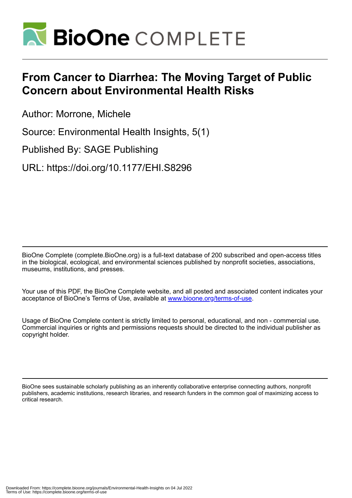

# **From Cancer to Diarrhea: The Moving Target of Public Concern about Environmental Health Risks**

Author: Morrone, Michele

Source: Environmental Health Insights, 5(1)

Published By: SAGE Publishing

URL: https://doi.org/10.1177/EHI.S8296

BioOne Complete (complete.BioOne.org) is a full-text database of 200 subscribed and open-access titles in the biological, ecological, and environmental sciences published by nonprofit societies, associations, museums, institutions, and presses.

Your use of this PDF, the BioOne Complete website, and all posted and associated content indicates your acceptance of BioOne's Terms of Use, available at www.bioone.org/terms-of-use.

Usage of BioOne Complete content is strictly limited to personal, educational, and non - commercial use. Commercial inquiries or rights and permissions requests should be directed to the individual publisher as copyright holder.

BioOne sees sustainable scholarly publishing as an inherently collaborative enterprise connecting authors, nonprofit publishers, academic institutions, research libraries, and research funders in the common goal of maximizing access to critical research.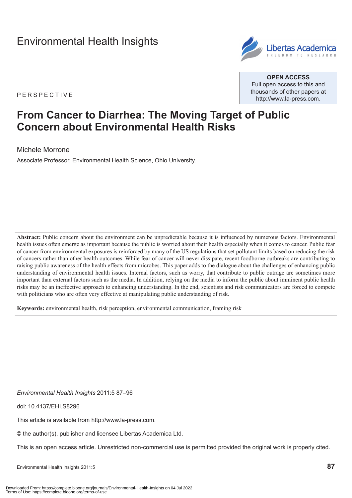# [Environmental Health Insights](http://www.la-press.com/environmental-health-insights-journal-j110)



**Open Access** Full open access to this and thousands of other papers at <http://www.la-press.com>.

P e r spe c ti v e

## **From Cancer to Diarrhea: The Moving Target of Public Concern about Environmental Health Risks**

Michele Morrone

Associate Professor, Environmental Health Science, Ohio University.

**Abstract:** Public concern about the environment can be unpredictable because it is influenced by numerous factors. Environmental health issues often emerge as important because the public is worried about their health especially when it comes to cancer. Public fear of cancer from environmental exposures is reinforced by many of the US regulations that set pollutant limits based on reducing the risk of cancers rather than other health outcomes. While fear of cancer will never dissipate, recent foodborne outbreaks are contributing to raising public awareness of the health effects from microbes. This paper adds to the dialogue about the challenges of enhancing public understanding of environmental health issues. Internal factors, such as worry, that contribute to public outrage are sometimes more important than external factors such as the media. In addition, relying on the media to inform the public about imminent public health risks may be an ineffective approach to enhancing understanding. In the end, scientists and risk communicators are forced to compete with politicians who are often very effective at manipulating public understanding of risk.

**Keywords:** environmental health, risk perception, environmental communication, framing risk

*Environmental Health Insights* 2011:5 87–96

doi: [10.4137/EHI.S8296](http://dx.doi.org/10.4137/EHI.S8296)

This article is available from [http://www.la-press.com.](http://www.la-press.com)

© the author(s), publisher and licensee Libertas Academica Ltd.

This is an open access article. Unrestricted non-commercial use is permitted provided the original work is properly cited.

Environmental Health Insights 2011:5 **87**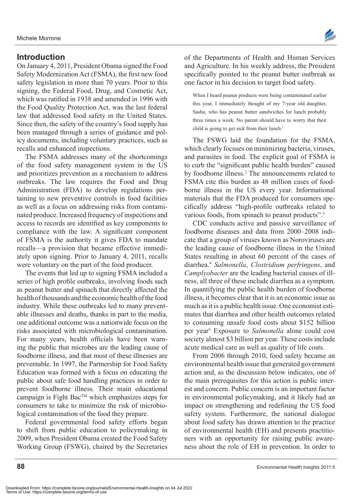#### **Introduction**

On January 4, 2011, President Obama signed the Food Safety Modernization Act (FSMA), the first new food safety legislation in more than 70 years. Prior to this signing, the Federal Food, Drug, and Cosmetic Act, which was ratified in 1938 and amended in 1996 with the Food Quality Protection Act, was the last federal law that addressed food safety in the United States. Since then, the safety of the country's food supply has been managed through a series of guidance and policy documents, including voluntary practices, such as recalls and enhanced inspections.

The FSMA addresses many of the shortcomings of the food safety management system in the US and prioritizes prevention as a mechanism to address outbreaks. The law requires the Food and Drug Administration (FDA) to develop regulations pertaining to new preventive controls in food facilities as well as a focus on addressing risks from contaminated produce. Increased frequency of inspections and access to records are identified as key components to compliance with the law. A significant component of FSMA is the authority it gives FDA to mandate recalls—a provision that became effective immediately upon signing. Prior to January 4, 2011, recalls were voluntary on the part of the food producer.

The events that led up to signing FSMA included a series of high profile outbreaks, involving foods such as peanut butter and spinach that directly affected the health of thousands and the economic health of the food industry. While these outbreaks led to many preventable illnesses and deaths, thanks in part to the media, one additional outcome was a nationwide focus on the risks associated with microbiological contamination. For many years, health officials have been warning the public that microbes are the leading cause of foodborne illness, and that most of these illnesses are preventable. In 1997, the Partnership for Food Safety Education was formed with a focus on educating the public about safe food handling practices in order to prevent foodborne illness. Their main educational campaign is Fight BacTM which emphasizes steps for consumers to take to minimize the risk of microbiological contamination of the food they prepare.

Federal governmental food safety efforts began to shift from public education to policymaking in 2009, when President Obama created the Food Safety Working Group (FSWG), chaired by the Secretaries

of the Departments of Health and Human Services and Agriculture. In his weekly address, the President specifically pointed to the peanut butter outbreak as one factor in his decision to target food safety.

When I heard peanut products were being contaminated earlier this year, I immediately thought of my 7-year old daughter, Sasha, who has peanut butter sandwiches for lunch probably three times a week. No parent should have to worry that their child is going to get sick from their lunch.<sup>1</sup>

The FSWG laid the foundation for the FSMA, which clearly focuses on minimizing bacteria, viruses, and parasites in food. The explicit goal of FSMA is to curb the "significant public health burden" caused by foodborne illness.<sup>2</sup> The announcements related to FSMA cite this burden as 48 million cases of foodborne illness in the US every year. Informational materials that the FDA produced for consumers specifically address "high-profile outbreaks related to various foods, from spinach to peanut products".<sup>3</sup>

CDC conducts active and passive surveillance of foodborne diseases and data from 2000–2008 indicate that a group of viruses known as Noroviruses are the leading cause of foodborne illness in the United States resulting in about 60 percent of the cases of diarrhea.4 *Salmonella*, *Clostridium perfringens*, and *Camplyobacter* are the leading bacterial causes of illness, all three of these include diarrhea as a symptom. In quantifying the public health burden of foodborne illness, it becomes clear that it is an economic issue as much as it is a public health issue. One economist estimates that diarrhea and other health outcomes related to consuming unsafe food costs about \$152 billion per year<sup>5</sup> Exposure to *Salmonella* alone could cost society almost \$3 billion per year. These costs include acute medical care as well as quality of life costs.

From 2006 through 2010, food safety became an environmental health issue that generated government action and, as the discussion below indicates, one of the main prerequisites for this action is public interest and concern. Public concern is an important factor in environmental policymaking, and it likely had an impact on strengthening and redefining the US food safety system. Furthermore, the national dialogue about food safety has drawn attention to the practice of environmental health (EH) and presents practitioners with an opportunity for raising public awareness about the role of EH in prevention. In order to

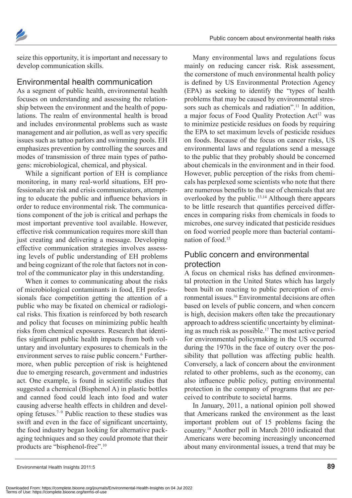

seize this opportunity, it is important and necessary to develop communication skills.

#### Environmental health communication

As a segment of public health, environmental health focuses on understanding and assessing the relationship between the environment and the health of populations. The realm of environmental health is broad and includes environmental problems such as waste management and air pollution, as well as very specific issues such as tattoo parlors and swimming pools. EH emphasizes prevention by controlling the sources and modes of transmission of three main types of pathogens: microbiological, chemical, and physical.

While a significant portion of EH is compliance monitoring, in many real-world situations, EH professionals are risk and crisis communicators, attempting to educate the public and influence behaviors in order to reduce environmental risk. The communications component of the job is critical and perhaps the most important preventive tool available. However, effective risk communication requires more skill than just creating and delivering a message. Developing effective communication strategies involves assessing levels of public understanding of EH problems and being cognizant of the role that factors not in control of the communicator play in this understanding.

When it comes to communicating about the risks of microbiological contaminants in food, EH professionals face competition getting the attention of a public who may be fixated on chemical or radiological risks. This fixation is reinforced by both research and policy that focuses on minimizing public health risks from chemical exposures. Research that identifies significant public health impacts from both voluntary and involuntary exposures to chemicals in the environment serves to raise public concern.<sup>6</sup> Furthermore, when public perception of risk is heightened due to emerging research, government and industries act. One example, is found in scientific studies that suggested a chemical (Bisphenol A) in plastic bottles and canned food could leach into food and water causing adverse health effects in children and developing fetuses.7–9 Public reaction to these studies was swift and even in the face of significant uncertainty, the food industry began looking for alternative packaging techniques and so they could promote that their products are "bisphenol-free".10

Many environmental laws and regulations focus mainly on reducing cancer risk. Risk assessment, the cornerstone of much environmental health policy is defined by US Environmental Protection Agency (EPA) as seeking to identify the "types of health problems that may be caused by environmental stressors such as chemicals and radiation".<sup>11</sup> In addition, a major focus of Food Quality Protection Act<sup>12</sup> was to minimize pesticide residues on foods by requiring the EPA to set maximum levels of pesticide residues on foods. Because of the focus on cancer risks, US environmental laws and regulations send a message to the public that they probably should be concerned about chemicals in the environment and in their food. However, public perception of the risks from chemicals has perplexed some scientists who note that there are numerous benefits to the use of chemicals that are overlooked by the public.<sup>13,14</sup> Although there appears to be little research that quantifies perceived differences in comparing risks from chemicals in foods to microbes, one survey indicated that pesticide residues on food worried people more than bacterial contamination of food<sup>15</sup>

## Public concern and environmental protection

A focus on chemical risks has defined environmental protection in the United States which has largely been built on reacting to public perception of environmental issues.16 Environmental decisions are often based on levels of public concern, and when concern is high, decision makers often take the precautionary approach to address scientific uncertainty by eliminating as much risk as possible.17 The most active period for environmental policymaking in the US occurred during the 1970s in the face of outcry over the possibility that pollution was affecting public health. Conversely, a lack of concern about the environment related to other problems, such as the economy, can also influence public policy, putting environmental protection in the company of programs that are perceived to contribute to societal harms.

In January, 2011, a national opinion poll showed that Americans ranked the environment as the least important problem out of 15 problems facing the country.18 Another poll in March 2010 indicated that Americans were becoming increasingly unconcerned about many environmental issues, a trend that may be

Downloaded From: https://complete.bioone.org/journals/Environmental-Health-Insights on 04 Jul 2022 Terms of Use: https://complete.bioone.org/terms-of-use

Environmental Health Insights 2011:5 **89**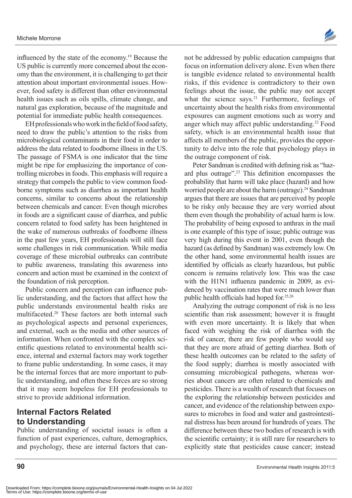influenced by the state of the economy.19 Because the US public is currently more concerned about the economy than the environment, it is challenging to get their attention about important environmental issues. However, food safety is different than other environmental health issues such as oils spills, climate change, and natural gas exploration, because of the magnitude and potential for immediate public health consequences.

EH professionals who work in the field of food safety, need to draw the public's attention to the risks from microbiological contaminants in their food in order to address the data related to foodborne illness in the US. The passage of FSMA is one indicator that the time might be ripe for emphasizing the importance of controlling microbes in foods. This emphasis will require a strategy that compels the public to view common foodborne symptoms such as diarrhea as important health concerns, similar to concerns about the relationship between chemicals and cancer. Even though microbes in foods are a significant cause of diarrhea, and public concern related to food safety has been heightened in the wake of numerous outbreaks of foodborne illness in the past few years, EH professionals will still face some challenges in risk communication. While media coverage of these microbial outbreaks can contribute to public awareness, translating this awareness into concern and action must be examined in the context of the foundation of risk perception.

Public concern and perception can influence public understanding, and the factors that affect how the public understands environmental health risks are multifaceted.20 These factors are both internal such as psychological aspects and personal experiences, and external, such as the media and other sources of information. When confronted with the complex scientific questions related to environmental health science, internal and external factors may work together to frame public understanding. In some cases, it may be the internal forces that are more important to public understanding, and often these forces are so strong that it may seem hopeless for EH professionals to strive to provide additional information.

### **Internal Factors Related to Understanding**

Public understanding of societal issues is often a function of past experiences, culture, demographics, and psychology, these are internal factors that cannot be addressed by public education campaigns that focus on information delivery alone. Even when there is tangible evidence related to environmental health risks, if this evidence is contradictory to their own feelings about the issue, the public may not accept what the science says.<sup>21</sup> Furthermore, feelings of uncertainty about the health risks from environmental exposures can augment emotions such as worry and anger which may affect public understanding.<sup>22</sup> Food safety, which is an environmental health issue that affects all members of the public, provides the opportunity to delve into the role that psychology plays in the outrage component of risk.

Peter Sandman is credited with defining risk as "hazard plus outrage".23 This definition encompasses the probability that harm will take place (hazard) and how worried people are about the harm (outrage).<sup>24</sup> Sandman argues that there are issues that are perceived by people to be risky only because they are very worried about them even though the probability of actual harm is low. The probability of being exposed to anthrax in the mail is one example of this type of issue; public outrage was very high during this event in 2001, even though the hazard (as defined by Sandman) was extremely low. On the other hand, some environmental health issues are identified by officials as clearly hazardous, but public concern is remains relatively low. This was the case with the H1N1 influenza pandemic in 2009, as evidenced by vaccination rates that were much lower than public health officials had hoped for.25,26

Analyzing the outrage component of risk is no less scientific than risk assessment; however it is fraught with even more uncertainty. It is likely that when faced with weighing the risk of diarrhea with the risk of cancer, there are few people who would say that they are more afraid of getting diarrhea. Both of these health outcomes can be related to the safety of the food supply; diarrhea is mostly associated with consuming microbiogical pathogens, whereas worries about cancers are often related to chemicals and pesticides. There is a wealth of research that focuses on the exploring the relationship between pesticides and cancer, and evidence of the relationship between exposures to microbes in food and water and gastrointestinal distress has been around for hundreds of years. The difference between these two bodies of research is with the scientific certainty; it is still rare for researchers to explicitly state that pesticides cause cancer; instead

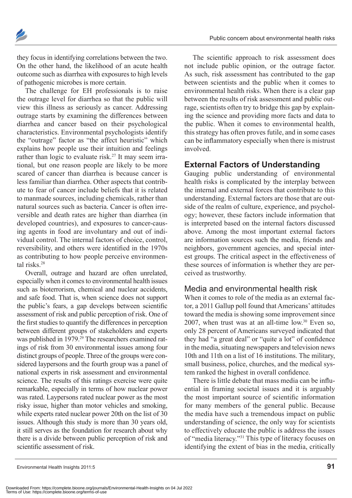

they focus in identifying correlations between the two. On the other hand, the likelihood of an acute health outcome such as diarrhea with exposures to high levels of pathogenic microbes is more certain.

The challenge for EH professionals is to raise the outrage level for diarrhea so that the public will view this illness as seriously as cancer. Addressing outrage starts by examining the differences between diarrhea and cancer based on their psychological characteristics. Environmental psychologists identify the "outrage" factor as "the affect heuristic" which explains how people use their intuition and feelings rather than logic to evaluate risk.<sup>27</sup> It may seem irrational, but one reason people are likely to be more scared of cancer than diarrhea is because cancer is less familiar than diarrhea. Other aspects that contribute to fear of cancer include beliefs that it is related to manmade sources, including chemicals, rather than natural sources such as bacteria. Cancer is often irreversible and death rates are higher than diarrhea (in developed countries), and exposures to cancer-causing agents in food are involuntary and out of individual control. The internal factors of choice, control, reversibility, and others were identified in the 1970s as contributing to how people perceive environmental risks<sup>28</sup>

Overall, outrage and hazard are often unrelated, especially when it comes to environmental health issues such as bioterrorism, chemical and nuclear accidents, and safe food. That is, when science does not support the public's fears, a gap develops between scientific assessment of risk and public perception of risk. One of the first studies to quantify the differences in perception between different groups of stakeholders and experts was published in 1979.<sup>29</sup> The researchers examined ratings of risk from 30 environmental issues among four distinct groups of people. Three of the groups were considered laypersons and the fourth group was a panel of national experts in risk assessment and environmental science. The results of this ratings exercise were quite remarkable, especially in terms of how nuclear power was rated. Laypersons rated nuclear power as the most risky issue, higher than motor vehicles and smoking, while experts rated nuclear power 20th on the list of 30 issues. Although this study is more than 30 years old, it still serves as the foundation for research about why there is a divide between public perception of risk and scientific assessment of risk.

The scientific approach to risk assessment does not include public opinion, or the outrage factor. As such, risk assessment has contributed to the gap between scientists and the public when it comes to environmental health risks. When there is a clear gap between the results of risk assessment and public outrage, scientists often try to bridge this gap by explaining the science and providing more facts and data to the public. When it comes to environmental health, this strategy has often proves futile, and in some cases can be inflammatory especially when there is mistrust involved.

### **External Factors of Understanding**

Gauging public understanding of environmental health risks is complicated by the interplay between the internal and external forces that contribute to this understanding. External factors are those that are outside of the realm of culture, experience, and psychology; however, these factors include information that is interpreted based on the internal factors discussed above. Among the most important external factors are information sources such the media, friends and neighbors, government agencies, and special interest groups. The critical aspect in the effectiveness of these sources of information is whether they are perceived as trustworthy.

#### Media and environmental health risk

When it comes to role of the media as an external factor, a 2011 Gallup poll found that Americans' attitudes toward the media is showing some improvement since 2007, when trust was at an all-time low. $30$  Even so, only 28 percent of Americans surveyed indicated that they had "a great deal" or "quite a lot" of confidence in the media, situating newspapers and television news 10th and 11th on a list of 16 institutions. The military, small business, police, churches, and the medical system ranked the highest in overall confidence.

There is little debate that mass media can be influential in framing societal issues and it is arguably the most important source of scientific information for many members of the general public. Because the media have such a tremendous impact on public understanding of science, the only way for scientists to effectively educate the public is address the issues of "media literacy."31 This type of literacy focuses on identifying the extent of bias in the media, critically

Environmental Health Insights 2011:5 **91**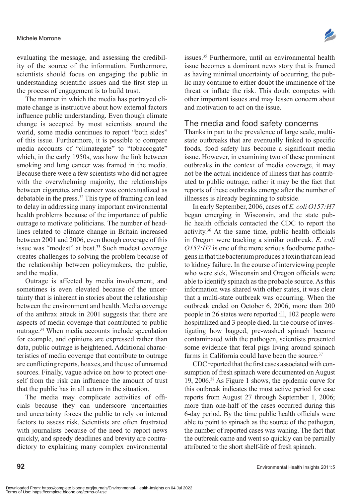evaluating the message, and assessing the credibility of the source of the information. Furthermore, scientists should focus on engaging the public in understanding scientific issues and the first step in the process of engagement is to build trust.

The manner in which the media has portrayed climate change is instructive about how external factors influence public understanding. Even though climate change is accepted by most scientists around the world, some media continues to report "both sides" of this issue. Furthermore, it is possible to compare media accounts of "climategate" to "tobaccogate" which, in the early 1950s, was how the link between smoking and lung cancer was framed in the media. Because there were a few scientists who did not agree with the overwhelming majority, the relationships between cigarettes and cancer was contextualized as debatable in the press.32 This type of framing can lead to delay in addressing many important environmental health problems because of the importance of public outrage to motivate politicians. The number of headlines related to climate change in Britain increased between 2001 and 2006, even though coverage of this issue was "modest" at best.<sup>33</sup> Such modest coverage creates challenges to solving the problem because of the relationship between policymakers, the public, and the media.

Outrage is affected by media involvement, and sometimes is even elevated because of the uncertainty that is inherent in stories about the relationship between the environment and health. Media coverage of the anthrax attack in 2001 suggests that there are aspects of media coverage that contributed to public outrage.34 When media accounts include speculation for example, and opinions are expressed rather than data, public outrage is heightened. Additional characteristics of media coverage that contribute to outrage are conflicting reports, hoaxes, and the use of unnamed sources. Finally, vague advice on how to protect oneself from the risk can influence the amount of trust that the public has in all actors in the situation.

The media may complicate activities of officials because they can underscore uncertainties and uncertainty forces the public to rely on internal factors to assess risk. Scientists are often frustrated with journalists because of the need to report news quickly, and speedy deadlines and brevity are contradictory to explaining many complex environmental

issues.35 Furthermore, until an environmental health issue becomes a dominant news story that is framed as having minimal uncertainty of occurring, the public may continue to either doubt the imminence of the threat or inflate the risk. This doubt competes with other important issues and may lessen concern about and motivation to act on the issue.

#### The media and food safety concerns

Thanks in part to the prevalence of large scale, multistate outbreaks that are eventually linked to specific foods, food safety has become a significant media issue. However, in examining two of these prominent outbreaks in the context of media coverage, it may not be the actual incidence of illness that has contributed to public outrage, rather it may be the fact that reports of these outbreaks emerge after the number of illnesses is already beginning to subside.

In early September, 2006, cases of *E. coli O157:H7* began emerging in Wisconsin, and the state public health officials contacted the CDC to report the activity.36 At the same time, public health officials in Oregon were tracking a similar outbreak. *E. coli O157:H7* is one of the more serious foodborne pathogens in that the bacterium produces a toxin that can lead to kidney failure. In the course of interviewing people who were sick, Wisconsin and Oregon officials were able to identify spinach as the probable source. As this information was shared with other states, it was clear that a multi-state outbreak was occurring. When the outbreak ended on October 6, 2006, more than 200 people in 26 states were reported ill, 102 people were hospitalized and 3 people died. In the course of investigating how bagged, pre-washed spinach became contaminated with the pathogen, scientists presented some evidence that feral pigs living around spinach farms in California could have been the source  $37$ 

CDC reported that the first cases associated with consumption of fresh spinach were documented on August 19, 2006.38 As Figure 1 shows, the epidemic curve for this outbreak indicates the most active period for case reports from August 27 through September 1, 2006; more than one-half of the cases occurred during this 6-day period. By the time public health officials were able to point to spinach as the source of the pathogen, the number of reported cases was waning. The fact that the outbreak came and went so quickly can be partially attributed to the short shelf-life of fresh spinach.

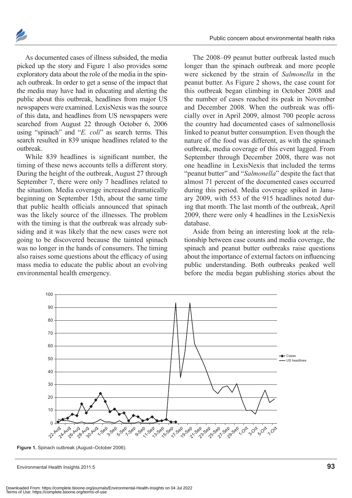

As documented cases of illness subsided, the media picked up the story and Figure 1 also provides some exploratory data about the role of the media in the spinach outbreak. In order to get a sense of the impact that the media may have had in educating and alerting the public about this outbreak, headlines from major US newspapers were examined. LexisNexis was the source of this data, and headlines from US newspapers were searched from August 22 through October 6, 2006 using "spinach" and "*E. coli*" as search terms. This search resulted in 839 unique headlines related to the outbreak.

While 839 headlines is significant number, the timing of these news accounts tells a different story. During the height of the outbreak, August 27 through September 7, there were only 7 headlines related to the situation. Media coverage increased dramatically beginning on September 15th, about the same time that public health officials announced that spinach was the likely source of the illnesses. The problem with the timing is that the outbreak was already subsiding and it was likely that the new cases were not going to be discovered because the tainted spinach was no longer in the hands of consumers. The timing also raises some questions about the efficacy of using mass media to educate the public about an evolving environmental health emergency.

The 2008–09 peanut butter outbreak lasted much longer than the spinach outbreak and more people were sickened by the strain of *Salmonella* in the peanut butter. As Figure 2 shows, the case count for this outbreak began climbing in October 2008 and the number of cases reached its peak in November and December 2008. When the outbreak was officially over in April 2009, almost 700 people across the country had documented cases of salmonellosis linked to peanut butter consumption. Even though the nature of the food was different, as with the spinach outbreak, media coverage of this event lagged. From September through December 2008, there was not one headline in LexisNexis that included the terms "peanut butter" and "*Salmonella*" despite the fact that almost 71 percent of the documented cases occurred during this period. Media coverage spiked in January 2009, with 553 of the 915 headlines noted during that month. The last month of the outbreak, April 2009, there were only 4 headlines in the LexisNexis database.

Aside from being an interesting look at the relationship between case counts and media coverage, the spinach and peanut butter outbreaks raise questions about the importance of external factors on influencing public understanding. Both outbreaks peaked well before the media began publishing stories about the



**Figure 1.** Spinach outbreak (August–October 2006).

Environmental Health Insights 2011:5 **93**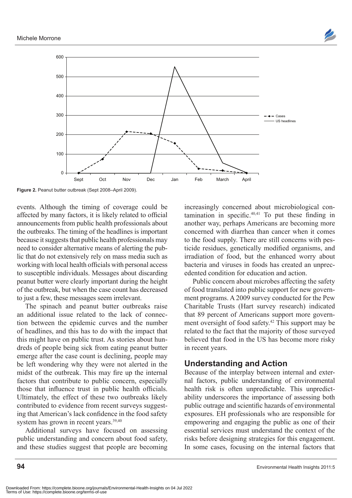



Figure 2. Peanut butter outbreak (Sept 2008–April 2009).

events. Although the timing of coverage could be affected by many factors, it is likely related to official announcements from public health professionals about the outbreaks. The timing of the headlines is important because it suggests that public health professionals may need to consider alternative means of alerting the public that do not extensively rely on mass media such as working with local health officials with personal access to susceptible individuals. Messages about discarding peanut butter were clearly important during the height of the outbreak, but when the case count has decreased to just a few, these messages seem irrelevant.

The spinach and peanut butter outbreaks raise an additional issue related to the lack of connection between the epidemic curves and the number of headlines, and this has to do with the impact that this might have on public trust. As stories about hundreds of people being sick from eating peanut butter emerge after the case count is declining, people may be left wondering why they were not alerted in the midst of the outbreak. This may fire up the internal factors that contribute to public concern, especially those that influence trust in public health officials. Ultimately, the effect of these two outbreaks likely contributed to evidence from recent surveys suggesting that American's lack confidence in the food safety system has grown in recent years.<sup>39,40</sup>

Additional surveys have focused on assessing public understanding and concern about food safety, and these studies suggest that people are becoming

increasingly concerned about microbiological contamination in specific. $40,41$  To put these finding in another way, perhaps Americans are becoming more concerned with diarrhea than cancer when it comes to the food supply. There are still concerns with pesticide residues, genetically modified organisms, and irradiation of food, but the enhanced worry about bacteria and viruses in foods has created an unprecedented condition for education and action.

Public concern about microbes affecting the safety of food translated into public support for new government programs. A 2009 survey conducted for the Pew Charitable Trusts (Hart survey research) indicated that 89 percent of Americans support more government oversight of food safety.42 This support may be related to the fact that the majority of those surveyed believed that food in the US has become more risky in recent years.

### **Understanding and Action**

Because of the interplay between internal and external factors, public understanding of environmental health risk is often unpredictable. This unpredictability underscores the importance of assessing both public outrage and scientific hazards of environmental exposures. EH professionals who are responsible for empowering and engaging the public as one of their essential services must understand the context of the risks before designing strategies for this engagement. In some cases, focusing on the internal factors that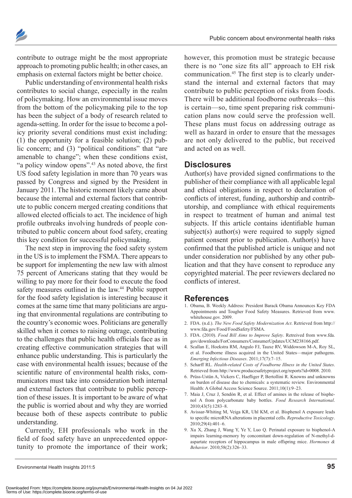

contribute to outrage might be the most appropriate approach to promoting public health; in other cases, an emphasis on external factors might be better choice.

Public understanding of environmental health risks contributes to social change, especially in the realm of policymaking. How an environmental issue moves from the bottom of the policymaking pile to the top has been the subject of a body of research related to agenda-setting. In order for the issue to become a policy priority several conditions must exist including: (1) the opportunity for a feasible solution; (2) public concern; and (3) "political conditions" that "are amenable to change"; when these conditions exist, "a policy window opens".<sup>43</sup> As noted above, the first US food safety legislation in more than 70 years was passed by Congress and signed by the President in January 2011. The historic moment likely came about because the internal and external factors that contribute to public concern merged creating conditions that allowed elected officials to act. The incidence of high profile outbreaks involving hundreds of people contributed to public concern about food safety, creating this key condition for successful policymaking.

The next step in improving the food safety system in the US is to implement the FSMA. There appears to be support for implementing the new law with almost 75 percent of Americans stating that they would be willing to pay more for their food to execute the food safety measures outlined in the law.<sup>44</sup> Public support for the food safety legislation is interesting because it comes at the same time that many politicians are arguing that environmental regulations are contributing to the country's economic woes. Politicians are generally skilled when it comes to raising outrage, contributing to the challenges that public health officials face as in creating effective communication strategies that will enhance public understanding. This is particularly the case with environmental health issues; because of the scientific nature of environmental health risks, communicators must take into consideration both internal and external factors that contribute to public perception of these issues. It is important to be aware of what the public is worried about and why they are worried because both of these aspects contribute to public understanding.

Currently, EH professionals who work in the field of food safety have an unprecedented opportunity to promote the importance of their work;

however, this promotion must be strategic because there is no "one size fits all" approach to EH risk communication.45 The first step is to clearly understand the internal and external factors that may contribute to public perception of risks from foods. There will be additional foodborne outbreaks—this is certain—so, time spent preparing risk communication plans now could serve the profession well. These plans must focus on addressing outrage as well as hazard in order to ensure that the messages are not only delivered to the public, but received and acted on as well.

#### **Disclosures**

Author(s) have provided signed confirmations to the publisher of their compliance with all applicable legal and ethical obligations in respect to declaration of conflicts of interest, funding, authorship and contributorship, and compliance with ethical requirements in respect to treatment of human and animal test subjects. If this article contains identifiable human subject(s) author(s) were required to supply signed patient consent prior to publication. Author(s) have confirmed that the published article is unique and not under consideration nor published by any other publication and that they have consent to reproduce any copyrighted material. The peer reviewers declared no conflicts of interest.

#### **References**

- 1. Obama, B. Weekly Address: President Barack Obama Announces Key FDA Appointments and Tougher Food Safety Measures. Retrieved from [www.](www.whitehouse.gov) [whitehouse.go](www.whitehouse.gov)v. 2009.
- 2. FDA. (n.d.). *The New Food Safety Modernization Act*. Retrieved from [http://](http://www.fda.gov/Food/FoodSafety/FSMA) [www.fda.gov/Food/FoodSafety/FSMA.](http://www.fda.gov/Food/FoodSafety/FSMA)
- 3. FDA. (2010). *Food Bill Aims to Improve Safety*. Retreived from [www.fda.](www.fda.gov/downloads/ForConsumers/ConsumerUpdates/UCM238166.pdf) [gov/downloads/ForConsumers/ConsumerUpdates/UCM238166.pdf.](www.fda.gov/downloads/ForConsumers/ConsumerUpdates/UCM238166.pdf)
- 4. Scallan E, Hoekstra RM, Angulo FJ, Tauxe RV, Widdowson M-A, Roy SL, et al. Foodborne illness acquired in the United States—major pathogens. *Emerging Infectious Diseases*. 2011;17(7):7–15.
- 5. Scharff RL. *Health-related Costs of Foodborne Illness in the United States*. Retrieved from [http://www.producesafetyproject.org/reports?i](http://www.producesafetyproject.org/reports?id=0008)d=0008. 2010.
- 6. Prüss-Ustün A, Vickers C, Haefliger P, Bertollini R. Knowns and unknowns on burden of disease due to chemicals: a systematic review. Environmental Health: A Global Access Science Source. 2011;10(1):9–23.
- 7. Maia J, Cruz J, Sendón R, et al. Effect of amines in the release of bisphenol A from polycarbonate baby bottles. *Food Research International*. 2010;43(5):1283–8.
- 8. Avissar-Whiting M, Veiga KR, Uhl KM, et al. Bisphenol A exposure leads to specific microRNA alterations in placental cells. *Reproductive Toxicology*. 2010;29(4):401–6.
- 9. Xu X, Zhang J, Wang Y, Ye Y, Luo Q. Perinatal exposure to bisphenol-A impairs learning-memory by concomitant down-regulation of N-methyl-daspartate receptors of hippocampus in male offspring mice. *Hormones & Behavior*. 2010;58(2):326–33.

Environmental Health Insights 2011:5 **95**